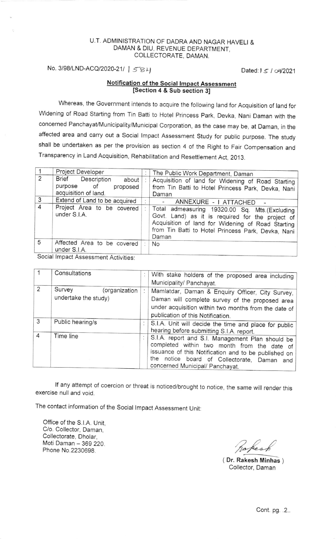## U.T. ADMINISTRATION OF DADRA AND NAGAR HAVELI & DAMAN & DIU, REVENUE DEPARTMENT, COLLECTORATE, DAMAN.

 $No. 3/98/LND-ACQ/2020-21/ | 584$ 

## Notification of the Social Impact Assessment [Section 4 & Sub section 3]

Whereas, the Government intends to acquire the following land for Acquisition of land for widening of Road starting from Tin Batti to Hotel princess park, Devka, Nani Daman with the concerned Panchayat/Municipality/Municipal Corporation, as the case may be, at Daman, in the affected area and carry out a Social Impact Assessment Study for public purpose. The study shall be undertaken as per the provision as section 4 of the Right to Fair compensation and Transparency in Land Acquisition, Rehabilitation and Resettlement Act, 2013.

|                | Project Developer                                                              |   | The Public Work Department, Daman                                                                                                                                                                                     |  |  |
|----------------|--------------------------------------------------------------------------------|---|-----------------------------------------------------------------------------------------------------------------------------------------------------------------------------------------------------------------------|--|--|
| 2              | Brief Description<br>about  <br>purpose of<br>proposed<br>acquisition of land. |   | Acquisition of land for Widening of Road Starting<br>from Tin Batti to Hotel Princess Park, Devka, Nani<br>Daman                                                                                                      |  |  |
| 3              | Extend of Land to be acquired                                                  |   | ANNEXURE - I ATTACHED -                                                                                                                                                                                               |  |  |
| $\overline{4}$ | Project Area to be covered<br>under S.I.A.                                     |   | Total admeasuring 19320.00 Sq. Mts.(Excluding<br>Govt. Land) as it is required for the project of<br>Acquisition of land for Widening of Road Starting<br>from Tin Batti to Hotel Princess Park, Devka, Nani<br>Daman |  |  |
| 5              | Affected Area to be covered<br>under S.I.A.                                    | ÷ | <b>No</b>                                                                                                                                                                                                             |  |  |
| $\mathbf{C}$   |                                                                                |   |                                                                                                                                                                                                                       |  |  |

Social lmpact Assessment Activities

|                | Consultations           |  | With stake holders of the proposed area including                                                                                                                                                                                         |  |  |
|----------------|-------------------------|--|-------------------------------------------------------------------------------------------------------------------------------------------------------------------------------------------------------------------------------------------|--|--|
|                |                         |  | Municipality/ Panchayat.                                                                                                                                                                                                                  |  |  |
| 2              | Survey<br>(organization |  | Mamlatdar, Daman & Enquiry Officer, City Survey,                                                                                                                                                                                          |  |  |
|                | undertake the study)    |  | Daman will complete survey of the proposed area                                                                                                                                                                                           |  |  |
|                |                         |  | under acquisition within two months from the date of                                                                                                                                                                                      |  |  |
|                |                         |  | publication of this Notification.                                                                                                                                                                                                         |  |  |
| 3              | Public hearing/s        |  | S.I.A. Unit will decide the time and place for public<br>hearing before submitting S.I.A. report.                                                                                                                                         |  |  |
| $\overline{4}$ | Time line               |  | S.I.A. report and S.I. Management Plan should be<br>completed within two month from the date of<br>issuance of this Notification and to be published on<br>the notice board of Collectorate, Daman and<br>concerned Municipal/ Panchayat. |  |  |

If any attempt of coercion or threat is noticed/brought to notice, the same will render this exercise null and void.

The contact information of the Social lmpact Assessment Unit

Office of the S.l.A. Unit, C/o. Collector, Daman, Collectorate, Dholar, Moti Daman - 369 220. Phone No.2230698.

Rakesk

( Dr. Rakesh Minhas ) Collector, Daman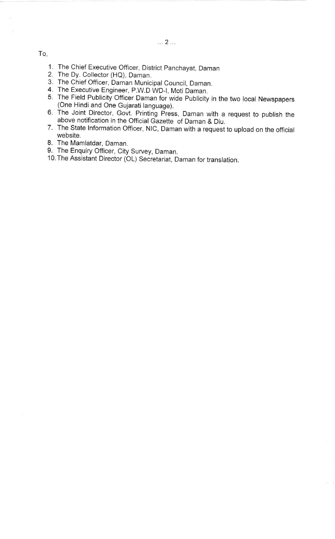To,

- 1 The Chief Executive Officer, District panchayat, Daman
- 2 The Dy. Collector (HQ), Daman.
- 3. The Chief Officer, Daman Municipal Council, Daman.
- 4 The Executive Engineer, P.W.D WD-|, Moti Daman.
- 5. The Field Publicity Officer Daman for wide Publicity in the two local Newspapers (One Hindi and One Gujarati language).
- 6. The Joint Director, Govt. Printing Press, Daman with a request to publish the above notification in the Official Gazette of Daman & Diu.
- 7. The State lnformation officer, Nlc, Daman with a request to upload on the official website.
- B. The Mamlatdar, Daman.
- 9. The Enquiry Officer, City Survey, Daman.
- 10.The Assistant Director (OL) Secretariat, Daman for translation.